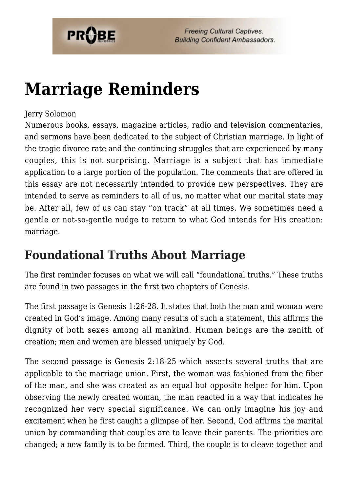

# **[Marriage Reminders](https://probe.org/marriage-reminders/)**

#### Jerry Solomon

Numerous books, essays, magazine articles, radio and television commentaries, and sermons have been dedicated to the subject of Christian marriage. In light of the tragic divorce rate and the continuing struggles that are experienced by many couples, this is not surprising. Marriage is a subject that has immediate application to a large portion of the population. The comments that are offered in this essay are not necessarily intended to provide new perspectives. They are intended to serve as reminders to all of us, no matter what our marital state may be. After all, few of us can stay "on track" at all times. We sometimes need a gentle or not-so-gentle nudge to return to what God intends for His creation: marriage.

#### **Foundational Truths About Marriage**

The first reminder focuses on what we will call "foundational truths." These truths are found in two passages in the first two chapters of Genesis.

The first passage is Genesis 1:26-28. It states that both the man and woman were created in God's image. Among many results of such a statement, this affirms the dignity of both sexes among all mankind. Human beings are the zenith of creation; men and women are blessed uniquely by God.

The second passage is Genesis 2:18-25 which asserts several truths that are applicable to the marriage union. First, the woman was fashioned from the fiber of the man, and she was created as an equal but opposite helper for him. Upon observing the newly created woman, the man reacted in a way that indicates he recognized her very special significance. We can only imagine his joy and excitement when he first caught a glimpse of her. Second, God affirms the marital union by commanding that couples are to leave their parents. The priorities are changed; a new family is to be formed. Third, the couple is to cleave together and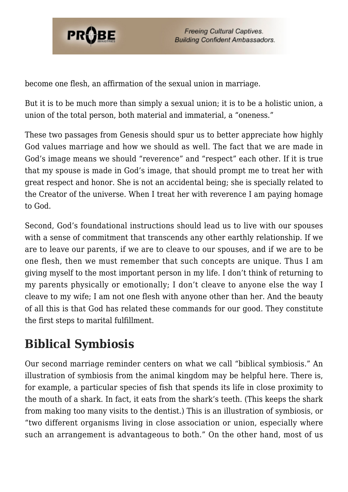

become one flesh, an affirmation of the sexual union in marriage.

But it is to be much more than simply a sexual union; it is to be a holistic union, a union of the total person, both material and immaterial, a "oneness."

These two passages from Genesis should spur us to better appreciate how highly God values marriage and how we should as well. The fact that we are made in God's image means we should "reverence" and "respect" each other. If it is true that my spouse is made in God's image, that should prompt me to treat her with great respect and honor. She is not an accidental being; she is specially related to the Creator of the universe. When I treat her with reverence I am paying homage to God.

Second, God's foundational instructions should lead us to live with our spouses with a sense of commitment that transcends any other earthly relationship. If we are to leave our parents, if we are to cleave to our spouses, and if we are to be one flesh, then we must remember that such concepts are unique. Thus I am giving myself to the most important person in my life. I don't think of returning to my parents physically or emotionally; I don't cleave to anyone else the way I cleave to my wife; I am not one flesh with anyone other than her. And the beauty of all this is that God has related these commands for our good. They constitute the first steps to marital fulfillment.

## **Biblical Symbiosis**

Our second marriage reminder centers on what we call "biblical symbiosis." An illustration of symbiosis from the animal kingdom may be helpful here. There is, for example, a particular species of fish that spends its life in close proximity to the mouth of a shark. In fact, it eats from the shark's teeth. (This keeps the shark from making too many visits to the dentist.) This is an illustration of symbiosis, or "two different organisms living in close association or union, especially where such an arrangement is advantageous to both." On the other hand, most of us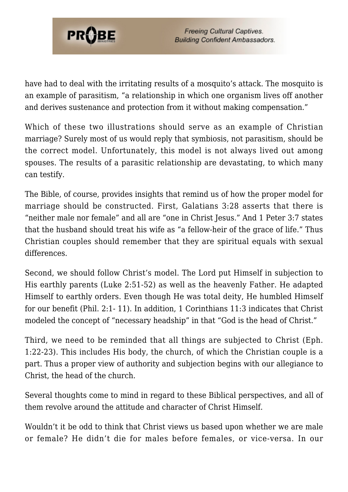

have had to deal with the irritating results of a mosquito's attack. The mosquito is an example of parasitism, "a relationship in which one organism lives off another and derives sustenance and protection from it without making compensation."

Which of these two illustrations should serve as an example of Christian marriage? Surely most of us would reply that symbiosis, not parasitism, should be the correct model. Unfortunately, this model is not always lived out among spouses. The results of a parasitic relationship are devastating, to which many can testify.

The Bible, of course, provides insights that remind us of how the proper model for marriage should be constructed. First, Galatians 3:28 asserts that there is "neither male nor female" and all are "one in Christ Jesus." And 1 Peter 3:7 states that the husband should treat his wife as "a fellow-heir of the grace of life." Thus Christian couples should remember that they are spiritual equals with sexual differences.

Second, we should follow Christ's model. The Lord put Himself in subjection to His earthly parents (Luke 2:51-52) as well as the heavenly Father. He adapted Himself to earthly orders. Even though He was total deity, He humbled Himself for our benefit (Phil. 2:1- 11). In addition, 1 Corinthians 11:3 indicates that Christ modeled the concept of "necessary headship" in that "God is the head of Christ."

Third, we need to be reminded that all things are subjected to Christ (Eph. 1:22-23). This includes His body, the church, of which the Christian couple is a part. Thus a proper view of authority and subjection begins with our allegiance to Christ, the head of the church.

Several thoughts come to mind in regard to these Biblical perspectives, and all of them revolve around the attitude and character of Christ Himself.

Wouldn't it be odd to think that Christ views us based upon whether we are male or female? He didn't die for males before females, or vice-versa. In our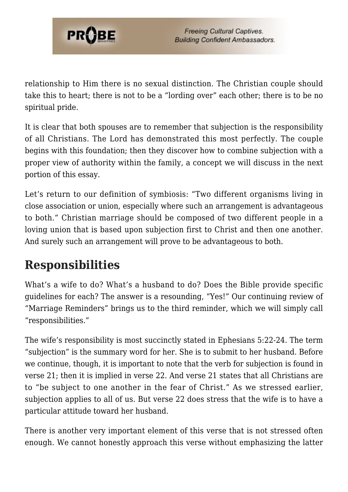

relationship to Him there is no sexual distinction. The Christian couple should take this to heart; there is not to be a "lording over" each other; there is to be no spiritual pride.

It is clear that both spouses are to remember that subjection is the responsibility of all Christians. The Lord has demonstrated this most perfectly. The couple begins with this foundation; then they discover how to combine subjection with a proper view of authority within the family, a concept we will discuss in the next portion of this essay.

Let's return to our definition of symbiosis: "Two different organisms living in close association or union, especially where such an arrangement is advantageous to both." Christian marriage should be composed of two different people in a loving union that is based upon subjection first to Christ and then one another. And surely such an arrangement will prove to be advantageous to both.

### **Responsibilities**

What's a wife to do? What's a husband to do? Does the Bible provide specific guidelines for each? The answer is a resounding, "Yes!" Our continuing review of "Marriage Reminders" brings us to the third reminder, which we will simply call "responsibilities."

The wife's responsibility is most succinctly stated in Ephesians 5:22-24. The term "subjection" is the summary word for her. She is to submit to her husband. Before we continue, though, it is important to note that the verb for subjection is found in verse 21; then it is implied in verse 22. And verse 21 states that all Christians are to "be subject to one another in the fear of Christ." As we stressed earlier, subjection applies to all of us. But verse 22 does stress that the wife is to have a particular attitude toward her husband.

There is another very important element of this verse that is not stressed often enough. We cannot honestly approach this verse without emphasizing the latter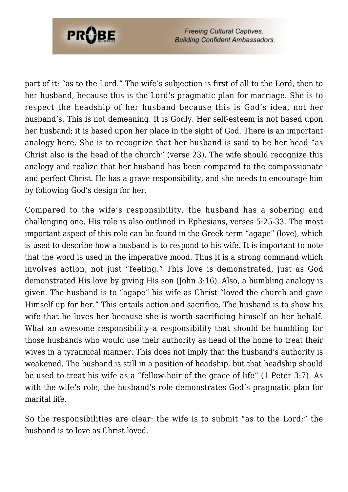

**Freeing Cultural Captives. Building Confident Ambassadors.** 

part of it: "as to the Lord." The wife's subjection is first of all to the Lord, then to her husband, because this is the Lord's pragmatic plan for marriage. She is to respect the headship of her husband because this is God's idea, not her husband's. This is not demeaning. It is Godly. Her self-esteem is not based upon her husband; it is based upon her place in the sight of God. There is an important analogy here. She is to recognize that her husband is said to be her head "as Christ also is the head of the church" (verse 23). The wife should recognize this analogy and realize that her husband has been compared to the compassionate and perfect Christ. He has a grave responsibility, and she needs to encourage him by following God's design for her.

Compared to the wife's responsibility, the husband has a sobering and challenging one. His role is also outlined in Ephesians, verses 5:25-33. The most important aspect of this role can be found in the Greek term "agape" (love), which is used to describe how a husband is to respond to his wife. It is important to note that the word is used in the imperative mood. Thus it is a strong command which involves action, not just "feeling." This love is demonstrated, just as God demonstrated His love by giving His son (John 3:16). Also, a humbling analogy is given. The husband is to "agape" his wife as Christ "loved the church and gave Himself up for her." This entails action and sacrifice. The husband is to show his wife that he loves her because she is worth sacrificing himself on her behalf. What an awesome responsibility–a responsibility that should be humbling for those husbands who would use their authority as head of the home to treat their wives in a tyrannical manner. This does not imply that the husband's authority is weakened. The husband is still in a position of headship, but that headship should be used to treat his wife as a "fellow-heir of the grace of life" (1 Peter 3:7). As with the wife's role, the husband's role demonstrates God's pragmatic plan for marital life.

So the responsibilities are clear: the wife is to submit "as to the Lord;" the husband is to love as Christ loved.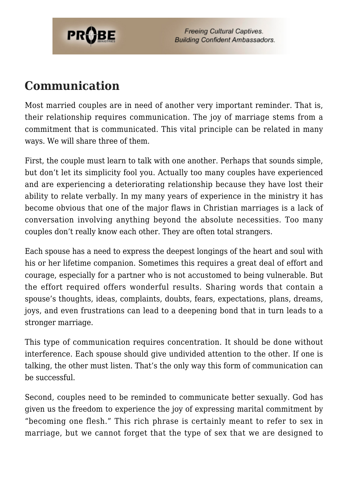

**Freeing Cultural Captives. Building Confident Ambassadors.** 

#### **Communication**

Most married couples are in need of another very important reminder. That is, their relationship requires communication. The joy of marriage stems from a commitment that is communicated. This vital principle can be related in many ways. We will share three of them.

First, the couple must learn to talk with one another. Perhaps that sounds simple, but don't let its simplicity fool you. Actually too many couples have experienced and are experiencing a deteriorating relationship because they have lost their ability to relate verbally. In my many years of experience in the ministry it has become obvious that one of the major flaws in Christian marriages is a lack of conversation involving anything beyond the absolute necessities. Too many couples don't really know each other. They are often total strangers.

Each spouse has a need to express the deepest longings of the heart and soul with his or her lifetime companion. Sometimes this requires a great deal of effort and courage, especially for a partner who is not accustomed to being vulnerable. But the effort required offers wonderful results. Sharing words that contain a spouse's thoughts, ideas, complaints, doubts, fears, expectations, plans, dreams, joys, and even frustrations can lead to a deepening bond that in turn leads to a stronger marriage.

This type of communication requires concentration. It should be done without interference. Each spouse should give undivided attention to the other. If one is talking, the other must listen. That's the only way this form of communication can be successful.

Second, couples need to be reminded to communicate better sexually. God has given us the freedom to experience the joy of expressing marital commitment by "becoming one flesh." This rich phrase is certainly meant to refer to sex in marriage, but we cannot forget that the type of sex that we are designed to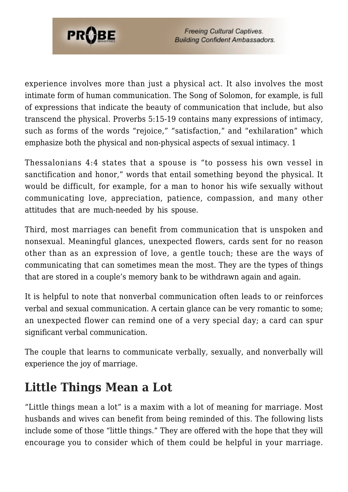

**Freeing Cultural Captives. Building Confident Ambassadors.** 

experience involves more than just a physical act. It also involves the most intimate form of human communication. The Song of Solomon, for example, is full of expressions that indicate the beauty of communication that include, but also transcend the physical. Proverbs 5:15-19 contains many expressions of intimacy, such as forms of the words "rejoice," "satisfaction," and "exhilaration" which emphasize both the physical and non-physical aspects of sexual intimacy. 1

Thessalonians 4:4 states that a spouse is "to possess his own vessel in sanctification and honor," words that entail something beyond the physical. It would be difficult, for example, for a man to honor his wife sexually without communicating love, appreciation, patience, compassion, and many other attitudes that are much-needed by his spouse.

Third, most marriages can benefit from communication that is unspoken and nonsexual. Meaningful glances, unexpected flowers, cards sent for no reason other than as an expression of love, a gentle touch; these are the ways of communicating that can sometimes mean the most. They are the types of things that are stored in a couple's memory bank to be withdrawn again and again.

It is helpful to note that nonverbal communication often leads to or reinforces verbal and sexual communication. A certain glance can be very romantic to some; an unexpected flower can remind one of a very special day; a card can spur significant verbal communication.

The couple that learns to communicate verbally, sexually, and nonverbally will experience the joy of marriage.

### **Little Things Mean a Lot**

"Little things mean a lot" is a maxim with a lot of meaning for marriage. Most husbands and wives can benefit from being reminded of this. The following lists include some of those "little things." They are offered with the hope that they will encourage you to consider which of them could be helpful in your marriage.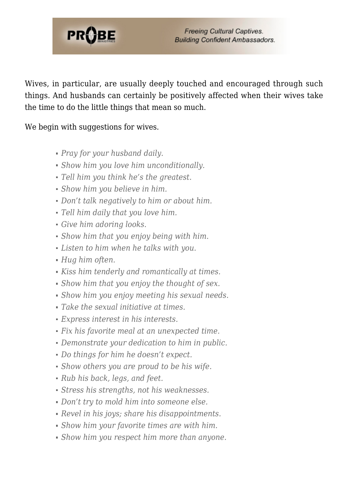

Wives, in particular, are usually deeply touched and encouraged through such things. And husbands can certainly be positively affected when their wives take the time to do the little things that mean so much.

We begin with suggestions for wives.

- *Pray for your husband daily.*
- *Show him you love him unconditionally.*
- *Tell him you think he's the greatest.*
- *Show him you believe in him.*
- *Don't talk negatively to him or about him.*
- *Tell him daily that you love him.*
- *Give him adoring looks.*
- *Show him that you enjoy being with him.*
- *Listen to him when he talks with you.*
- *Hug him often.*
- *Kiss him tenderly and romantically at times.*
- *Show him that you enjoy the thought of sex.*
- *Show him you enjoy meeting his sexual needs.*
- *Take the sexual initiative at times.*
- *Express interest in his interests.*
- *Fix his favorite meal at an unexpected time.*
- *Demonstrate your dedication to him in public.*
- *Do things for him he doesn't expect.*
- *Show others you are proud to be his wife.*
- *Rub his back, legs, and feet.*
- *Stress his strengths, not his weaknesses.*
- *Don't try to mold him into someone else.*
- *Revel in his joys; share his disappointments.*
- *Show him your favorite times are with him.*
- *Show him you respect him more than anyone.*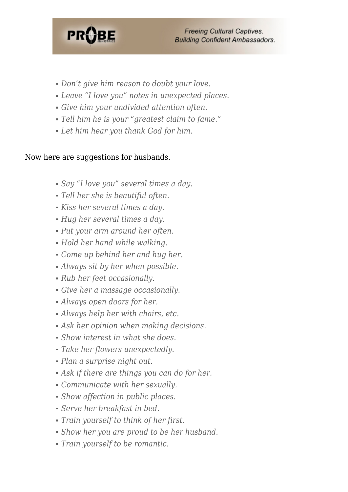

- *Don't give him reason to doubt your love.*
- *Leave "I love you" notes in unexpected places.*
- *Give him your undivided attention often.*
- *Tell him he is your "greatest claim to fame."*
- *Let him hear you thank God for him.*

#### Now here are suggestions for husbands.

- *Say "I love you" several times a day.*
- *Tell her she is beautiful often.*
- *Kiss her several times a day.*
- *Hug her several times a day.*
- *Put your arm around her often.*
- *Hold her hand while walking.*
- *Come up behind her and hug her.*
- *Always sit by her when possible.*
- *Rub her feet occasionally.*
- *Give her a massage occasionally.*
- *Always open doors for her.*
- *Always help her with chairs, etc.*
- *Ask her opinion when making decisions.*
- *Show interest in what she does.*
- *Take her flowers unexpectedly.*
- *Plan a surprise night out.*
- *Ask if there are things you can do for her.*
- *Communicate with her sexually.*
- *Show affection in public places.*
- *Serve her breakfast in bed.*
- *Train yourself to think of her first.*
- *Show her you are proud to be her husband.*
- *Train yourself to be romantic.*